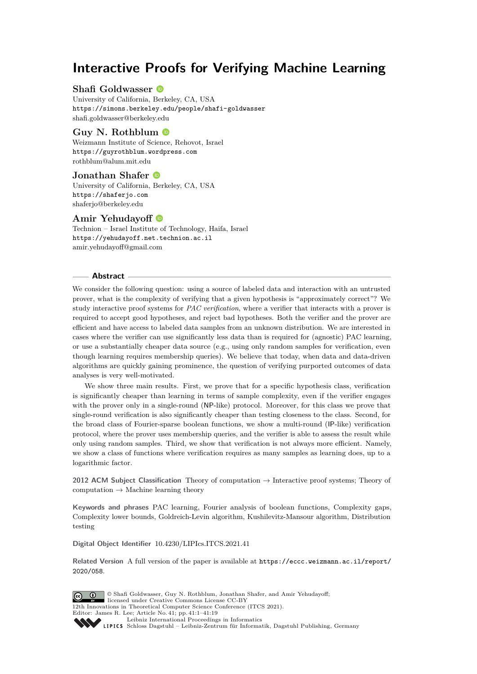# <span id="page-0-0"></span>**Interactive Proofs for Verifying Machine Learning**

## **Shafi Goldwasser**

University of California, Berkeley, CA, USA <https://simons.berkeley.edu/people/shafi-goldwasser> [shafi.goldwasser@berkeley.edu](mailto:shafi.goldwasser@berkeley.edu)

# **Guy N. Rothblum**

Weizmann Institute of Science, Rehovot, Israel <https://guyrothblum.wordpress.com> [rothblum@alum.mit.edu](mailto:rothblum@alum.mit.edu)

# **Jonathan Shafer**

University of California, Berkeley, CA, USA <https://shaferjo.com> [shaferjo@berkeley.edu](mailto:shaferjo@berkeley.edu)

# **Amir Yehudayoff**

Technion – Israel Institute of Technology, Haifa, Israel <https://yehudayoff.net.technion.ac.il> [amir.yehudayoff@gmail.com](mailto:amir.yehudayoff@gmail.com)

## **Abstract**

We consider the following question: using a source of labeled data and interaction with an untrusted prover, what is the complexity of verifying that a given hypothesis is "approximately correct"? We study interactive proof systems for *PAC verification*, where a verifier that interacts with a prover is required to accept good hypotheses, and reject bad hypotheses. Both the verifier and the prover are efficient and have access to labeled data samples from an unknown distribution. We are interested in cases where the verifier can use significantly less data than is required for (agnostic) PAC learning, or use a substantially cheaper data source (e.g., using only random samples for verification, even though learning requires membership queries). We believe that today, when data and data-driven algorithms are quickly gaining prominence, the question of verifying purported outcomes of data analyses is very well-motivated.

We show three main results. First, we prove that for a specific hypothesis class, verification is significantly cheaper than learning in terms of sample complexity, even if the verifier engages with the prover only in a single-round (NP-like) protocol. Moreover, for this class we prove that single-round verification is also significantly cheaper than testing closeness to the class. Second, for the broad class of Fourier-sparse boolean functions, we show a multi-round (IP-like) verification protocol, where the prover uses membership queries, and the verifier is able to assess the result while only using random samples. Third, we show that verification is not always more efficient. Namely, we show a class of functions where verification requires as many samples as learning does, up to a logarithmic factor.

**2012 ACM Subject Classification** Theory of computation → Interactive proof systems; Theory of computation  $\rightarrow$  Machine learning theory

**Keywords and phrases** PAC learning, Fourier analysis of boolean functions, Complexity gaps, Complexity lower bounds, Goldreich-Levin algorithm, Kushilevitz-Mansour algorithm, Distribution testing

**Digital Object Identifier** [10.4230/LIPIcs.ITCS.2021.41](https://doi.org/10.4230/LIPIcs.ITCS.2021.41)

**Related Version** A full version of the paper is available at [https://eccc.weizmann.ac.il/report/](https://eccc.weizmann.ac.il/report/2020/058) [2020/058](https://eccc.weizmann.ac.il/report/2020/058).

© Shafi Goldwasser, Guy N. Rothblum, Jonathan Shafer, and Amir Yehudayoff;  $\boxed{6}$  0 licensed under Creative Commons License CC-BY 12th Innovations in Theoretical Computer Science Conference (ITCS 2021). Editor: James R. Lee; Article No. 41; pp. 41:1–41[:19](#page-18-0) [Leibniz International Proceedings in Informatics](https://www.dagstuhl.de/lipics/) [Schloss Dagstuhl – Leibniz-Zentrum für Informatik, Dagstuhl Publishing, Germany](https://www.dagstuhl.de)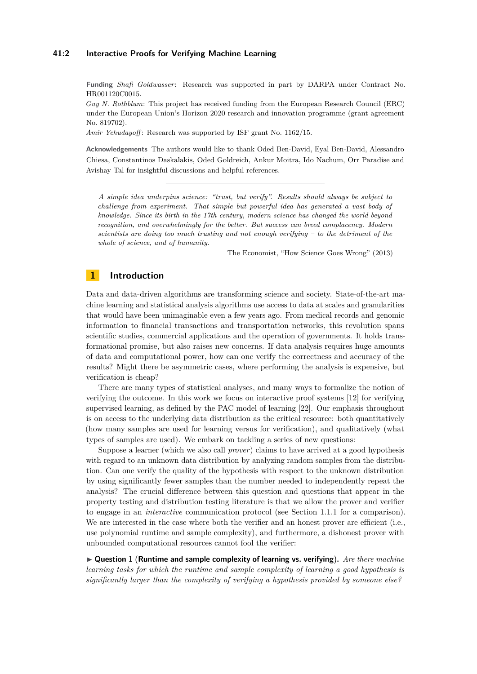## **41:2 Interactive Proofs for Verifying Machine Learning**

**Funding** *Shafi Goldwasser*: Research was supported in part by DARPA under Contract No. HR001120C0015.

*Guy N. Rothblum*: This project has received funding from the European Research Council (ERC) under the European Union's Horizon 2020 research and innovation programme (grant agreement No. 819702).

*Amir Yehudayoff* : Research was supported by ISF grant No. 1162/15.

**Acknowledgements** The authors would like to thank Oded Ben-David, Eyal Ben-David, Alessandro Chiesa, Constantinos Daskalakis, Oded Goldreich, Ankur Moitra, Ido Nachum, Orr Paradise and Avishay Tal for insightful discussions and helpful references.

*A simple idea underpins science: "trust, but verify". Results should always be subject to challenge from experiment. That simple but powerful idea has generated a vast body of knowledge. Since its birth in the 17th century, modern science has changed the world beyond recognition, and overwhelmingly for the better. But success can breed complacency. Modern scientists are doing too much trusting and not enough verifying – to the detriment of the whole of science, and of humanity.*

The Economist, "How Science Goes Wrong" (2013)

# **1 Introduction**

Data and data-driven algorithms are transforming science and society. State-of-the-art machine learning and statistical analysis algorithms use access to data at scales and granularities that would have been unimaginable even a few years ago. From medical records and genomic information to financial transactions and transportation networks, this revolution spans scientific studies, commercial applications and the operation of governments. It holds transformational promise, but also raises new concerns. If data analysis requires huge amounts of data and computational power, how can one verify the correctness and accuracy of the results? Might there be asymmetric cases, where performing the analysis is expensive, but verification is cheap?

There are many types of statistical analyses, and many ways to formalize the notion of verifying the outcome. In this work we focus on interactive proof systems [\[12\]](#page-18-1) for verifying supervised learning, as defined by the PAC model of learning [\[22\]](#page-18-2). Our emphasis throughout is on access to the underlying data distribution as the critical resource: both quantitatively (how many samples are used for learning versus for verification), and qualitatively (what types of samples are used). We embark on tackling a series of new questions:

Suppose a learner (which we also call *prover*) claims to have arrived at a good hypothesis with regard to an unknown data distribution by analyzing random samples from the distribution. Can one verify the quality of the hypothesis with respect to the unknown distribution by using significantly fewer samples than the number needed to independently repeat the analysis? The crucial difference between this question and questions that appear in the property testing and distribution testing literature is that we allow the prover and verifier to engage in an *interactive* communication protocol (see Section [1.1.1](#page-3-0) for a comparison). We are interested in the case where both the verifier and an honest prover are efficient (i.e., use polynomial runtime and sample complexity), and furthermore, a dishonest prover with unbounded computational resources cannot fool the verifier:

<span id="page-1-0"></span>I **Question 1** (**Runtime and sample complexity of learning vs. verifying**)**.** *Are there machine learning tasks for which the runtime and sample complexity of learning a good hypothesis is significantly larger than the complexity of verifying a hypothesis provided by someone else?*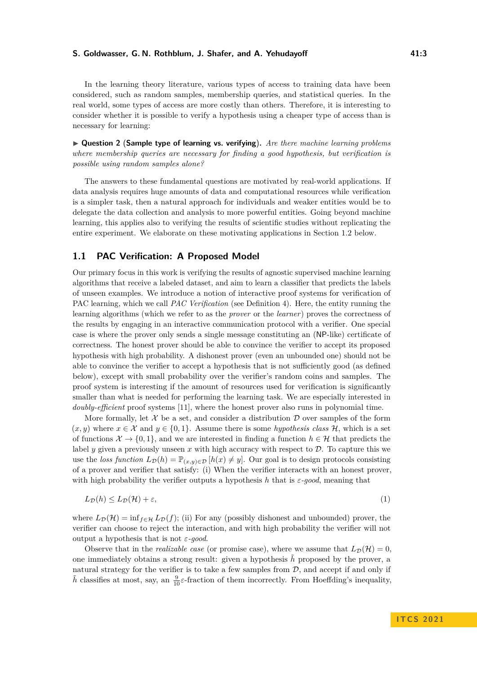In the learning theory literature, various types of access to training data have been considered, such as random samples, membership queries, and statistical queries. In the real world, some types of access are more costly than others. Therefore, it is interesting to consider whether it is possible to verify a hypothesis using a cheaper type of access than is necessary for learning:

<span id="page-2-1"></span>I **Question 2** (**Sample type of learning vs. verifying**)**.** *Are there machine learning problems where membership queries are necessary for finding a good hypothesis, but verification is possible using random samples alone?*

The answers to these fundamental questions are motivated by real-world applications. If data analysis requires huge amounts of data and computational resources while verification is a simpler task, then a natural approach for individuals and weaker entities would be to delegate the data collection and analysis to more powerful entities. Going beyond machine learning, this applies also to verifying the results of scientific studies without replicating the entire experiment. We elaborate on these motivating applications in Section [1.2](#page-4-0) below.

# **1.1 PAC Verification: A Proposed Model**

Our primary focus in this work is verifying the results of agnostic supervised machine learning algorithms that receive a labeled dataset, and aim to learn a classifier that predicts the labels of unseen examples. We introduce a notion of interactive proof systems for verification of PAC learning, which we call *PAC Verification* (see Definition [4\)](#page-9-0). Here, the entity running the learning algorithms (which we refer to as the *prover* or the *learner*) proves the correctness of the results by engaging in an interactive communication protocol with a verifier. One special case is where the prover only sends a single message constituting an (NP-like) certificate of correctness. The honest prover should be able to convince the verifier to accept its proposed hypothesis with high probability. A dishonest prover (even an unbounded one) should not be able to convince the verifier to accept a hypothesis that is not sufficiently good (as defined below), except with small probability over the verifier's random coins and samples. The proof system is interesting if the amount of resources used for verification is significantly smaller than what is needed for performing the learning task. We are especially interested in *doubly-efficient* proof systems [\[11\]](#page-18-3), where the honest prover also runs in polynomial time.

More formally, let  $\mathcal X$  be a set, and consider a distribution  $\mathcal D$  over samples of the form  $(x, y)$  where  $x \in \mathcal{X}$  and  $y \in \{0, 1\}$ . Assume there is some *hypothesis class*  $\mathcal{H}$ , which is a set of functions  $\mathcal{X} \to \{0, 1\}$ , and we are interested in finding a function  $h \in \mathcal{H}$  that predicts the label  $y$  given a previously unseen  $x$  with high accuracy with respect to  $D$ . To capture this we use the *loss function*  $L_{\mathcal{D}}(h) = \mathbb{P}_{(x,y)\in\mathcal{D}}[h(x) \neq y]$ . Our goal is to design protocols consisting of a prover and verifier that satisfy: (i) When the verifier interacts with an honest prover, with high probability the verifier outputs a hypothesis *h* that is *ε-good*, meaning that

<span id="page-2-0"></span>
$$
L_{\mathcal{D}}(h) \le L_{\mathcal{D}}(\mathcal{H}) + \varepsilon,\tag{1}
$$

where  $L_{\mathcal{D}}(\mathcal{H}) = \inf_{f \in \mathcal{H}} L_{\mathcal{D}}(f)$ ; (ii) For any (possibly dishonest and unbounded) prover, the verifier can choose to reject the interaction, and with high probability the verifier will not output a hypothesis that is not *ε-good*.

Observe that in the *realizable case* (or promise case), where we assume that  $L_{\mathcal{D}}(\mathcal{H}) = 0$ . one immediately obtains a strong result: given a hypothesis  $\tilde{h}$  proposed by the prover, a natural strategy for the verifier is to take a few samples from  $D$ , and accept if and only if  $\tilde{h}$  classifies at most, say, an  $\frac{9}{10}\varepsilon$ -fraction of them incorrectly. From Hoeffding's inequality,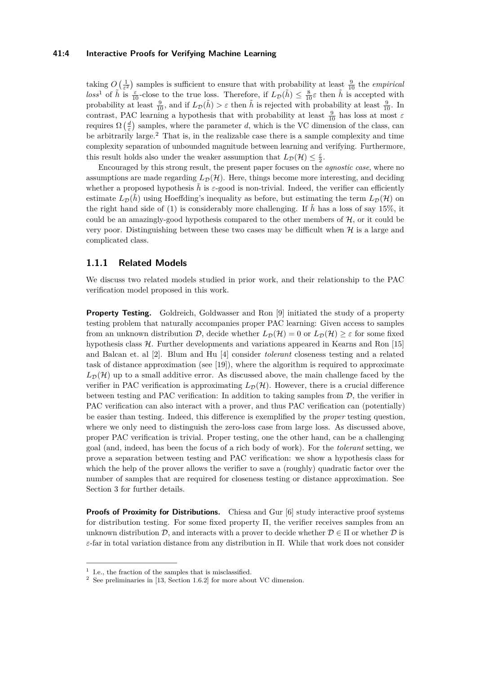## **41:4 Interactive Proofs for Verifying Machine Learning**

taking  $O\left(\frac{1}{\varepsilon^2}\right)$  samples is sufficient to ensure that with probability at least  $\frac{9}{10}$  the *empirical*  $loss^1$  $loss^1$  of  $\tilde{h}$  is  $\frac{\varepsilon}{10}$ -close to the true loss. Therefore, if  $L_{\mathcal{D}}(\tilde{h}) \leq \frac{8}{10}\varepsilon$  then  $\tilde{h}$  is accepted with probability at least  $\frac{9}{10}$ , and if  $L_{\mathcal{D}}(\tilde{h}) > \varepsilon$  then  $\tilde{h}$  is rejected with probability at least  $\frac{9}{10}$ . In contrast, PAC learning a hypothesis that with probability at least  $\frac{9}{10}$  has loss at most  $\varepsilon$ requires  $\Omega\left(\frac{d}{\varepsilon}\right)$  samples, where the parameter *d*, which is the VC dimension of the class, can be arbitrarily large.<sup>[2](#page-3-2)</sup> That is, in the realizable case there is a sample complexity and time complexity separation of unbounded magnitude between learning and verifying. Furthermore, this result holds also under the weaker assumption that  $L_{\mathcal{D}}(\mathcal{H}) \leq \frac{\varepsilon}{2}$ .

Encouraged by this strong result, the present paper focuses on the *agnostic case*, where no assumptions are made regarding  $L_{\mathcal{D}}(\mathcal{H})$ . Here, things become more interesting, and deciding whether a proposed hypothesis  $\tilde{h}$  is  $\varepsilon$ -good is non-trivial. Indeed, the verifier can efficiently estimate  $L_{\mathcal{D}}(\tilde{h})$  using Hoeffding's inequality as before, but estimating the term  $L_{\mathcal{D}}(\mathcal{H})$  on the right hand side of [\(1\)](#page-2-0) is considerably more challenging. If  $\tilde{h}$  has a loss of say 15%, it could be an amazingly-good hypothesis compared to the other members of  $H$ , or it could be very poor. Distinguishing between these two cases may be difficult when  $H$  is a large and complicated class.

## <span id="page-3-0"></span>**1.1.1 Related Models**

We discuss two related models studied in prior work, and their relationship to the PAC verification model proposed in this work.

**Property Testing.** Goldreich, Goldwasser and Ron [\[9\]](#page-18-4) initiated the study of a property testing problem that naturally accompanies proper PAC learning: Given access to samples from an unknown distribution D, decide whether  $L_{\mathcal{D}}(\mathcal{H}) = 0$  or  $L_{\mathcal{D}}(\mathcal{H}) \geq \varepsilon$  for some fixed hypothesis class  $H$ . Further developments and variations appeared in Kearns and Ron [\[15\]](#page-18-5) and Balcan et. al [\[2\]](#page-17-0). Blum and Hu [\[4\]](#page-17-1) consider *tolerant* closeness testing and a related task of distance approximation (see [\[19\]](#page-18-6)), where the algorithm is required to approximate  $L_{\mathcal{D}}(\mathcal{H})$  up to a small additive error. As discussed above, the main challenge faced by the verifier in PAC verification is approximating  $L_{\mathcal{D}}(\mathcal{H})$ . However, there is a crucial difference between testing and PAC verification: In addition to taking samples from  $D$ , the verifier in PAC verification can also interact with a prover, and thus PAC verification can (potentially) be easier than testing. Indeed, this difference is exemplified by the *proper* testing question, where we only need to distinguish the zero-loss case from large loss. As discussed above, proper PAC verification is trivial. Proper testing, one the other hand, can be a challenging goal (and, indeed, has been the focus of a rich body of work). For the *tolerant* setting, we prove a separation between testing and PAC verification: we show a hypothesis class for which the help of the prover allows the verifier to save a (roughly) quadratic factor over the number of samples that are required for closeness testing or distance approximation. See Section [3](#page-14-0) for further details.

**Proofs of Proximity for Distributions.** Chiesa and Gur [\[6\]](#page-18-7) study interactive proof systems for distribution testing. For some fixed property  $\Pi$ , the verifier receives samples from an unknown distribution  $\mathcal{D}$ , and interacts with a prover to decide whether  $\mathcal{D} \in \Pi$  or whether  $\mathcal{D}$  is *ε*-far in total variation distance from any distribution in Π. While that work does not consider

<span id="page-3-1"></span><sup>&</sup>lt;sup>1</sup> I.e., the fraction of the samples that is misclassified.

<span id="page-3-2"></span><sup>2</sup> See preliminaries in [\[13,](#page-18-8) Section [1.6.2\]](#page-0-0) for more about VC dimension.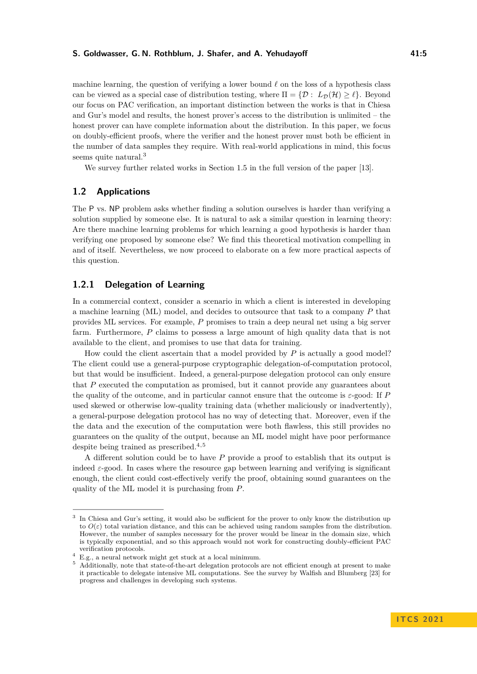machine learning, the question of verifying a lower bound  $\ell$  on the loss of a hypothesis class can be viewed as a special case of distribution testing, where  $\Pi = {\mathcal{D} : L_D(\mathcal{H}) \geq \ell}$ . Beyond our focus on PAC verification, an important distinction between the works is that in Chiesa and Gur's model and results, the honest prover's access to the distribution is unlimited – the honest prover can have complete information about the distribution. In this paper, we focus on doubly-efficient proofs, where the verifier and the honest prover must both be efficient in the number of data samples they require. With real-world applications in mind, this focus seems quite natural.<sup>[3](#page-4-1)</sup>

We survey further related works in Section [1.5](#page-9-1) in the full version of the paper [\[13\]](#page-18-8).

## <span id="page-4-0"></span>**1.2 Applications**

The P vs. NP problem asks whether finding a solution ourselves is harder than verifying a solution supplied by someone else. It is natural to ask a similar question in learning theory: Are there machine learning problems for which learning a good hypothesis is harder than verifying one proposed by someone else? We find this theoretical motivation compelling in and of itself. Nevertheless, we now proceed to elaborate on a few more practical aspects of this question.

# **1.2.1 Delegation of Learning**

In a commercial context, consider a scenario in which a client is interested in developing a machine learning (ML) model, and decides to outsource that task to a company *P* that provides ML services. For example, *P* promises to train a deep neural net using a big server farm. Furthermore, *P* claims to possess a large amount of high quality data that is not available to the client, and promises to use that data for training.

How could the client ascertain that a model provided by *P* is actually a good model? The client could use a general-purpose cryptographic delegation-of-computation protocol, but that would be insufficient. Indeed, a general-purpose delegation protocol can only ensure that *P* executed the computation as promised, but it cannot provide any guarantees about the quality of the outcome, and in particular cannot ensure that the outcome is *ε*-good: If *P* used skewed or otherwise low-quality training data (whether maliciously or inadvertently), a general-purpose delegation protocol has no way of detecting that. Moreover, even if the the data and the execution of the computation were both flawless, this still provides no guarantees on the quality of the output, because an ML model might have poor performance despite being trained as prescribed. $4,5$  $4,5$ 

A different solution could be to have *P* provide a proof to establish that its output is indeed  $\varepsilon$ -good. In cases where the resource gap between learning and verifying is significant enough, the client could cost-effectively verify the proof, obtaining sound guarantees on the quality of the ML model it is purchasing from *P*.

<span id="page-4-1"></span><sup>&</sup>lt;sup>3</sup> In Chiesa and Gur's setting, it would also be sufficient for the prover to only know the distribution up to  $O(\varepsilon)$  total variation distance, and this can be achieved using random samples from the distribution. However, the number of samples necessary for the prover would be linear in the domain size, which is typically exponential, and so this approach would not work for constructing doubly-efficient PAC verification protocols.

<span id="page-4-2"></span><sup>4</sup> E.g., a neural network might get stuck at a local minimum.

<span id="page-4-3"></span><sup>5</sup> Additionally, note that state-of-the-art delegation protocols are not efficient enough at present to make it practicable to delegate intensive ML computations. See the survey by Walfish and Blumberg [\[23\]](#page-18-9) for progress and challenges in developing such systems.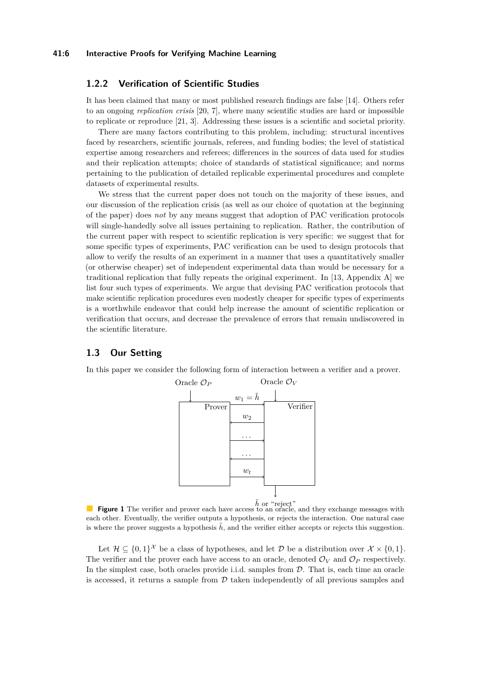# **1.2.2 Verification of Scientific Studies**

It has been claimed that many or most published research findings are false [\[14\]](#page-18-10). Others refer to an ongoing *replication crisis* [\[20,](#page-18-11) [7\]](#page-18-12), where many scientific studies are hard or impossible to replicate or reproduce [\[21,](#page-18-13) [3\]](#page-17-2). Addressing these issues is a scientific and societal priority.

There are many factors contributing to this problem, including: structural incentives faced by researchers, scientific journals, referees, and funding bodies; the level of statistical expertise among researchers and referees; differences in the sources of data used for studies and their replication attempts; choice of standards of statistical significance; and norms pertaining to the publication of detailed replicable experimental procedures and complete datasets of experimental results.

We stress that the current paper does not touch on the majority of these issues, and our discussion of the replication crisis (as well as our choice of quotation at the beginning of the paper) does *not* by any means suggest that adoption of PAC verification protocols will single-handedly solve all issues pertaining to replication. Rather, the contribution of the current paper with respect to scientific replication is very specific: we suggest that for some specific types of experiments, PAC verification can be used to design protocols that allow to verify the results of an experiment in a manner that uses a quantitatively smaller (or otherwise cheaper) set of independent experimental data than would be necessary for a traditional replication that fully repeats the original experiment. In [\[13,](#page-18-8) Appendix [A\]](#page-0-0) we list four such types of experiments. We argue that devising PAC verification protocols that make scientific replication procedures even modestly cheaper for specific types of experiments is a worthwhile endeavor that could help increase the amount of scientific replication or verification that occurs, and decrease the prevalence of errors that remain undiscovered in the scientific literature.

## <span id="page-5-1"></span>**1.3 Our Setting**

<span id="page-5-0"></span>In this paper we consider the following form of interaction between a verifier and a prover.



**Figure 1** The verifier and prover each have access to an oracle, and they exchange messages with each other. Eventually, the verifier outputs a hypothesis, or rejects the interaction. One natural case is where the prover suggests a hypothesis  $\tilde{h}$ , and the verifier either accepts or rejects this suggestion.

Let  $\mathcal{H} \subseteq \{0,1\}^{\mathcal{X}}$  be a class of hypotheses, and let  $\mathcal{D}$  be a distribution over  $\mathcal{X} \times \{0,1\}$ . The verifier and the prover each have access to an oracle, denoted  $\mathcal{O}_V$  and  $\mathcal{O}_P$  respectively. In the simplest case, both oracles provide i.i.d. samples from  $D$ . That is, each time an oracle is accessed, it returns a sample from  $\mathcal D$  taken independently of all previous samples and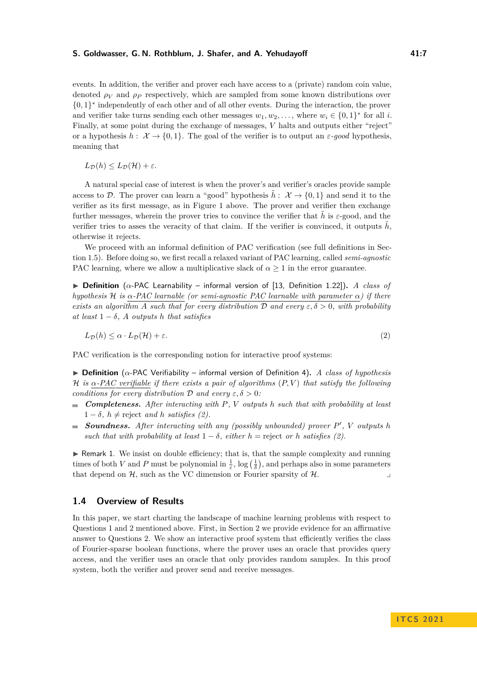events. In addition, the verifier and prover each have access to a (private) random coin value, denoted *ρ<sup>V</sup>* and *ρ<sup>P</sup>* respectively, which are sampled from some known distributions over {0*,* 1} ∗ independently of each other and of all other events. During the interaction, the prover and verifier take turns sending each other messages  $w_1, w_2, \ldots$ , where  $w_i \in \{0, 1\}^*$  for all *i*. Finally, at some point during the exchange of messages, *V* halts and outputs either "reject" or a hypothesis  $h: \mathcal{X} \to \{0,1\}$ . The goal of the verifier is to output an  $\varepsilon$ *-good* hypothesis, meaning that

 $L_{\mathcal{D}}(h) \leq L_{\mathcal{D}}(\mathcal{H}) + \varepsilon.$ 

A natural special case of interest is when the prover's and verifier's oracles provide sample access to D. The prover can learn a "good" hypothesis  $h: \mathcal{X} \to \{0,1\}$  and send it to the verifier as its first message, as in Figure [1](#page-5-0) above. The prover and verifier then exchange further messages, wherein the prover tries to convince the verifier that  $\hat{h}$  is  $\varepsilon$ -good, and the verifier tries to asses the veracity of that claim. If the verifier is convinced, it outputs  $h$ , otherwise it rejects.

We proceed with an informal definition of PAC verification (see full definitions in Section [1.5\)](#page-9-1). Before doing so, we first recall a relaxed variant of PAC learning, called *semi-agnostic* PAC learning, where we allow a multiplicative slack of  $\alpha \geq 1$  in the error guarantee.

I **Definition** (*α*-PAC Learnability – informal version of [\[13,](#page-18-8) Definition [1.22\]](#page-0-0))**.** *A class of hypothesis* H *is α-PAC learnable (or semi-agnostic PAC learnable with parameter α) if there exists an algorithm A such that for every distribution*  $\mathcal D$  *and every*  $\varepsilon, \delta > 0$ *, with probability at least*  $1 - \delta$ *, A outputs h that satisfies* 

<span id="page-6-0"></span>
$$
L_{\mathcal{D}}(h) \leq \alpha \cdot L_{\mathcal{D}}(\mathcal{H}) + \varepsilon. \tag{2}
$$

PAC verification is the corresponding notion for interactive proof systems:

 $\triangleright$  **Definition** (*α*-PAC Verifiability – informal version of Definition [4\)](#page-9-0). *A class of hypothesis* H *is α-PAC verifiable if there exists a pair of algorithms* (*P, V* ) *that satisfy the following conditions for every distribution*  $\mathcal{D}$  *and every*  $\varepsilon, \delta > 0$ *:* 

- *Completeness. After interacting with P, V outputs h such that with probability at least*  $1 - \delta$ *,*  $h \neq$  reject and *h satisfies* [\(2\)](#page-6-0)*.*
- **Soundness.** After interacting with any (possibly unbounded) prover  $P'$ , V outputs h *such that with probability at least*  $1 - \delta$ *, either*  $h =$  reject *or*  $h$  *satisfies* [\(2\)](#page-6-0)*.*

 $\blacktriangleright$  Remark 1. We insist on double efficiency; that is, that the sample complexity and running times of both *V* and *P* must be polynomial in  $\frac{1}{\varepsilon}$ , log  $(\frac{1}{\delta})$ , and perhaps also in some parameters that depend on  $H$ , such as the VC dimension or Fourier sparsity of  $H$ .

## **1.4 Overview of Results**

In this paper, we start charting the landscape of machine learning problems with respect to Questions [1](#page-1-0) and [2](#page-2-1) mentioned above. First, in Section [2](#page-10-0) we provide evidence for an affirmative answer to Questions [2.](#page-2-1) We show an interactive proof system that efficiently verifies the class of Fourier-sparse boolean functions, where the prover uses an oracle that provides query access, and the verifier uses an oracle that only provides random samples. In this proof system, both the verifier and prover send and receive messages.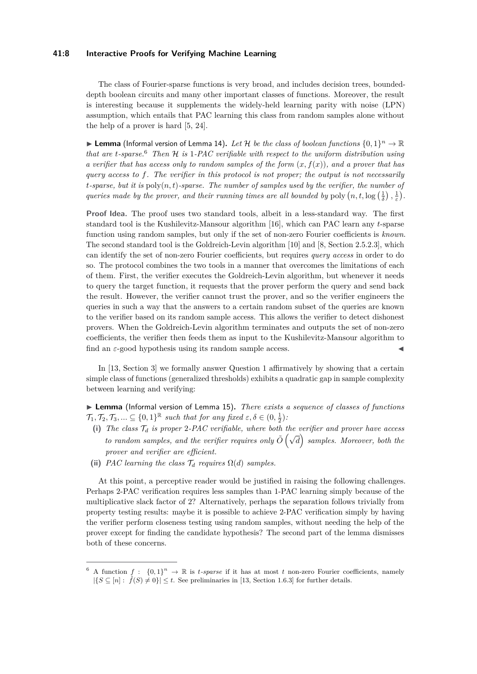## **41:8 Interactive Proofs for Verifying Machine Learning**

The class of Fourier-sparse functions is very broad, and includes decision trees, boundeddepth boolean circuits and many other important classes of functions. Moreover, the result is interesting because it supplements the widely-held learning parity with noise (LPN) assumption, which entails that PAC learning this class from random samples alone without the help of a prover is hard [\[5,](#page-18-14) [24\]](#page-18-15).

 $\blacktriangleright$  Lemma (Informal version of Lemma [14\)](#page-14-1). Let H be the class of boolean functions  $\{0,1\}^n \to \mathbb{R}$ *that are t-sparse.*[6](#page-7-0) *Then* H *is* 1*-PAC verifiable with respect to the uniform distribution using a verifier that has access only to random samples of the form*  $(x, f(x))$ *, and a prover that has query access to f. The verifier in this protocol is not proper; the output is not necessarily*  $t$ *-sparse, but it is*  $\text{poly}(n, t)$ *-sparse. The number of samples used by the verifier, the number of queries made by the prover, and their running times are all bounded by* poly  $(n, t, \log(\frac{1}{\delta}), \frac{1}{\varepsilon})$ .

**Proof Idea.** The proof uses two standard tools, albeit in a less-standard way. The first standard tool is the Kushilevitz-Mansour algorithm [\[16\]](#page-18-16), which can PAC learn any *t*-sparse function using random samples, but only if the set of non-zero Fourier coefficients is *known*. The second standard tool is the Goldreich-Levin algorithm [\[10\]](#page-18-17) and [\[8,](#page-18-18) Section 2.5.2.3], which can identify the set of non-zero Fourier coefficients, but requires *query access* in order to do so. The protocol combines the two tools in a manner that overcomes the limitations of each of them. First, the verifier executes the Goldreich-Levin algorithm, but whenever it needs to query the target function, it requests that the prover perform the query and send back the result. However, the verifier cannot trust the prover, and so the verifier engineers the queries in such a way that the answers to a certain random subset of the queries are known to the verifier based on its random sample access. This allows the verifier to detect dishonest provers. When the Goldreich-Levin algorithm terminates and outputs the set of non-zero coefficients, the verifier then feeds them as input to the Kushilevitz-Mansour algorithm to find an  $\varepsilon$ -good hypothesis using its random sample access.

In [\[13,](#page-18-8) Section [3\]](#page-14-0) we formally answer Question [1](#page-1-0) affirmatively by showing that a certain simple class of functions (generalized thresholds) exhibits a quadratic gap in sample complexity between learning and verifying:

▶ Lemma (Informal version of Lemma [15\)](#page-14-2). *There exists a sequence of classes of functions*  $\mathcal{T}_1, \mathcal{T}_2, \mathcal{T}_3, \ldots \subseteq \{0, 1\}^{\mathbb{R}}$  such that for any fixed  $\varepsilon, \delta \in (0, \frac{1}{2})$ .

- <span id="page-7-2"></span>**(i)** *The class* T*<sup>d</sup> is proper* 2*-PAC verifiable, where both the verifier and prover have access the class*  $f_a$  *is proper* 2.1.1.0 *originate, and could the verifier and prover have access* to random samples, and the verifier requires only  $\tilde{O}(\sqrt{d})$  samples. Moreover, both the *prover and verifier are efficient.*
- <span id="page-7-1"></span>(ii) *PAC learning the class*  $\mathcal{T}_d$  *requires*  $\Omega(d)$  *samples.*

At this point, a perceptive reader would be justified in raising the following challenges. Perhaps 2-PAC verification requires less samples than 1-PAC learning simply because of the multiplicative slack factor of 2? Alternatively, perhaps the separation follows trivially from property testing results: maybe it is possible to achieve 2-PAC verification simply by having the verifier perform closeness testing using random samples, without needing the help of the prover except for finding the candidate hypothesis? The second part of the lemma dismisses both of these concerns.

<span id="page-7-0"></span><sup>&</sup>lt;sup>6</sup> A function  $f: \{0,1\}^n \to \mathbb{R}$  is *t*-sparse if it has at most *t* non-zero Fourier coefficients, namely  $|\{S \subseteq [n]: \hat{f}(S) \neq 0\}| \leq t$ . See preliminaries in [\[13,](#page-18-8) Section [1.6.3\]](#page-0-0) for further details.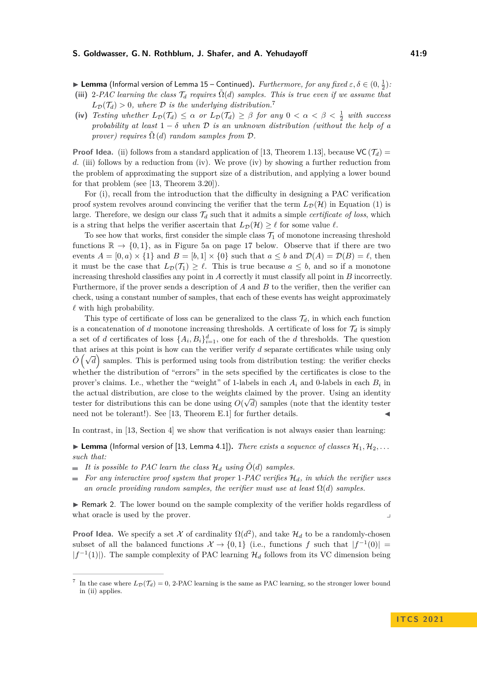**Lemma** (Informal version of Lemma [15](#page-14-2) – Continued). *Furthermore, for any fixed*  $\varepsilon, \delta \in (0, \frac{1}{2})$ .

- <span id="page-8-1"></span>(iii) 2*-PAC learning the class*  $\mathcal{T}_d$  *requires*  $\tilde{\Omega}(d)$  *samples. This is true even if we assume that*  $L_{\mathcal{D}}(\mathcal{T}_d) > 0$ , where  $\mathcal D$  *is the underlying distribution.*<sup>[7](#page-8-0)</sup>
- <span id="page-8-2"></span>(iv) *Testing whether*  $L_{\mathcal{D}}(\mathcal{T}_d) \leq \alpha$  *or*  $L_{\mathcal{D}}(\mathcal{T}_d) \geq \beta$  *for any*  $0 < \alpha < \beta < \frac{1}{2}$  *with success probability at least*  $1 - \delta$  *when*  $\mathcal{D}$  *is an unknown distribution (without the help of a prover) requires*  $\tilde{\Omega}$  (*d*) *random samples from*  $\mathcal{D}$ *.*

**Proof Idea.** [\(ii\)](#page-7-1) follows from a standard application of [\[13,](#page-18-8) Theorem [1.13\]](#page-0-0), because  $VC(\mathcal{T}_d)$  = *d*. [\(iii\)](#page-8-1) follows by a reduction from [\(iv\)](#page-8-2). We prove [\(iv\)](#page-8-2) by showing a further reduction from the problem of approximating the support size of a distribution, and applying a lower bound for that problem (see [\[13,](#page-18-8) Theorem [3.20\]](#page-0-0)).

For [\(i\)](#page-7-2), recall from the introduction that the difficulty in designing a PAC verification proof system revolves around convincing the verifier that the term  $L_{\mathcal{D}}(\mathcal{H})$  in Equation [\(1\)](#page-2-0) is large. Therefore, we design our class  $\mathcal{T}_d$  such that it admits a simple *certificate of loss*, which is a string that helps the verifier ascertain that  $L_{\mathcal{D}}(\mathcal{H}) \geq \ell$  for some value  $\ell$ .

To see how that works, first consider the simple class  $\mathcal{T}_1$  of monotone increasing threshold functions  $\mathbb{R} \to \{0,1\}$ , as in Figure [5a](#page-16-0) on page [17](#page-16-0) below. Observe that if there are two events  $A = [0, a) \times \{1\}$  and  $B = [b, 1] \times \{0\}$  such that  $a \leq b$  and  $\mathcal{D}(A) = \mathcal{D}(B) = \ell$ , then it must be the case that  $L_{\mathcal{D}}(\mathcal{T}_1) \geq \ell$ . This is true because  $a \leq b$ , and so if a monotone increasing threshold classifies any point in *A* correctly it must classify all point in *B* incorrectly. Furthermore, if the prover sends a description of *A* and *B* to the verifier, then the verifier can check, using a constant number of samples, that each of these events has weight approximately  $\ell$  with high probability.

This type of certificate of loss can be generalized to the class  $\mathcal{T}_d$ , in which each function is a concatenation of *d* monotone increasing thresholds. A certificate of loss for  $\mathcal{T}_d$  is simply a set of *d* certificates of loss  $\{A_i, B_i\}_{i=1}^d$ , one for each of the *d* thresholds. The question that arises at this point is how can the verifier verify *d* separate certificates while using only  $\tilde{O}(\sqrt{d})$  samples. This is performed using tools from distribution testing: the verifier checks whether the distribution of "errors" in the sets specified by the certificates is close to the prover's claims. I.e., whether the "weight" of 1-labels in each  $A_i$  and 0-labels in each  $B_i$  in the actual distribution, are close to the weights claimed by the prover. Using an identity tester for distributions this can be done using  $O(\sqrt{d})$  samples (note that the identity tester need not be tolerant!). See [\[13,](#page-18-8) Theorem [E.1\]](#page-0-0) for further details.

In contrast, in [\[13,](#page-18-8) Section [4\]](#page-17-3) we show that verification is not always easier than learning:

**Lemma** (Informal version of [\[13,](#page-18-8) Lemma [4.1\]](#page-0-0)). *There exists a sequence of classes*  $\mathcal{H}_1, \mathcal{H}_2, \ldots$ *such that:*

- $\blacksquare$  *It is possible to PAC learn the class*  $\mathcal{H}_d$  *using*  $\tilde{O}(d)$  *samples.*
- $\blacksquare$  *For any interactive proof system that proper* 1*-PAC verifies*  $\mathcal{H}_d$ *, in which the verifier uses an oracle providing random samples, the verifier must use at least*  $\Omega(d)$  *samples.*

 $\triangleright$  Remark 2. The lower bound on the sample complexity of the verifier holds regardless of what oracle is used by the prover.

**Proof Idea.** We specify a set X of cardinality  $\Omega(d^2)$ , and take  $\mathcal{H}_d$  to be a randomly-chosen subset of all the balanced functions  $\mathcal{X} \to \{0,1\}$  (i.e., functions f such that  $|f^{-1}(0)| =$  $|f^{-1}(1)|$ ). The sample complexity of PAC learning  $\mathcal{H}_d$  follows from its VC dimension being

<span id="page-8-0"></span><sup>7</sup> In the case where  $L_{\mathcal{D}}(\mathcal{T}_d) = 0$ , 2-PAC learning is the same as PAC learning, so the stronger lower bound in [\(ii\)](#page-7-1) applies.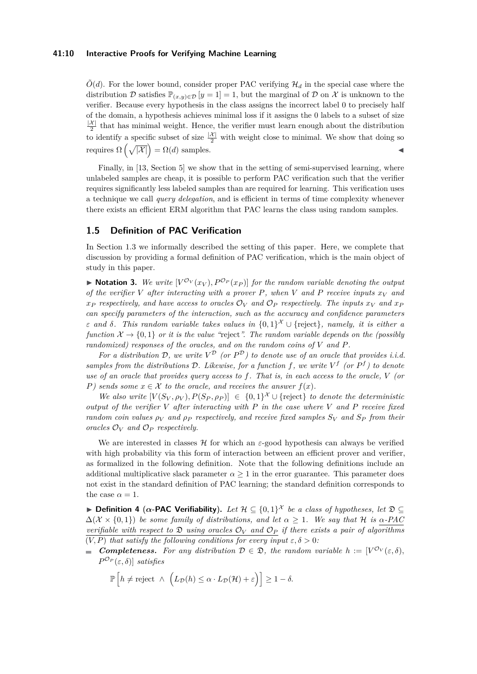## **41:10 Interactive Proofs for Verifying Machine Learning**

 $\tilde{O}(d)$ . For the lower bound, consider proper PAC verifying  $\mathcal{H}_d$  in the special case where the distribution D satisfies  $\mathbb{P}_{(x,y)\in\mathcal{D}}[y=1]=1$ , but the marginal of D on X is unknown to the verifier. Because every hypothesis in the class assigns the incorrect label 0 to precisely half of the domain, a hypothesis achieves minimal loss if it assigns the 0 labels to a subset of size  $|\mathcal{X}|$  $\frac{\lambda_1}{2}$  that has minimal weight. Hence, the verifier must learn enough about the distribution to identify a specific subset of size  $\frac{|\mathcal{X}|}{2}$  with weight close to minimal. We show that doing so requires  $\Omega\left(\sqrt{|\mathcal{X}|}\right) = \Omega(d)$  samples.

Finally, in [\[13,](#page-18-8) Section [5\]](#page-0-0) we show that in the setting of semi-supervised learning, where unlabeled samples are cheap, it is possible to perform PAC verification such that the verifier requires significantly less labeled samples than are required for learning. This verification uses a technique we call *query delegation*, and is efficient in terms of time complexity whenever there exists an efficient ERM algorithm that PAC learns the class using random samples.

# <span id="page-9-1"></span>**1.5 Definition of PAC Verification**

In Section [1.3](#page-5-1) we informally described the setting of this paper. Here, we complete that discussion by providing a formal definition of PAC verification, which is the main object of study in this paper.

 $\blacktriangleright$  **Notation 3.** We write  $[V^{\mathcal{O}_V}(x_V), P^{\mathcal{O}_P}(x_P)]$  for the random variable denoting the output *of the verifier V after interacting with a prover P, when V and P receive inputs*  $x_V$  *and x*<sub>P</sub> respectively, and have access to oracles  $\mathcal{O}_V$  and  $\mathcal{O}_P$  respectively. The inputs  $x_V$  and  $x_P$ *can specify parameters of the interaction, such as the accuracy and confidence parameters ε and δ. This random variable takes values in* {0*,* 1} <sup>X</sup> ∪ {reject}*, namely, it is either a function*  $\mathcal{X} \to \{0,1\}$  *or it is the value "reject". The random variable depends on the (possibly randomized) responses of the oracles, and on the random coins of V and P.*

For a distribution D, we write  $V^{\mathcal{D}}$  (or  $P^{\mathcal{D}}$ ) to denote use of an oracle that provides i.i.d. *samples from the distributions*  $D$ *. Likewise, for a function*  $f$ *, we write*  $V^f$  (or  $P^f$ ) to denote *use of an oracle that provides query access to f. That is, in each access to the oracle, V (or P)* sends some  $x \in \mathcal{X}$  to the oracle, and receives the answer  $f(x)$ .

*We also write*  $[V(S_V, \rho_V), P(S_P, \rho_P)] \in \{0,1\}^{\mathcal{X}} \cup \{\text{reject}\}\$  *to denote the deterministic output of the verifier V after interacting with P in the case where V and P receive fixed random coin values*  $\rho_V$  *and*  $\rho_P$  *respectively, and receive fixed samples*  $S_V$  *and*  $S_P$  *from their oracles*  $\mathcal{O}_V$  *and*  $\mathcal{O}_P$  *respectively.* 

We are interested in classes  $\mathcal H$  for which an  $\varepsilon$ -good hypothesis can always be verified with high probability via this form of interaction between an efficient prover and verifier, as formalized in the following definition. Note that the following definitions include an additional multiplicative slack parameter  $\alpha \geq 1$  in the error guarantee. This parameter does not exist in the standard definition of PAC learning; the standard definition corresponds to the case  $\alpha = 1$ .

<span id="page-9-0"></span>**► Definition 4** ( $\alpha$ -PAC Verifiability). Let  $\mathcal{H} \subseteq \{0,1\}^{\mathcal{X}}$  be a class of hypotheses, let  $\mathfrak{D} \subseteq$  $\Delta(\mathcal{X} \times \{0, 1\})$  *be some family of distributions, and let*  $\alpha \geq 1$ *. We say that* H *is*  $\alpha$ -PAC *verifiable with* respect to  $\mathfrak D$  *using oracles*  $\mathcal O_V$  *and*  $\mathcal O_P$  *if there exists* a pair of algorithms  $(V, P)$  *that satisfy the following conditions for every input*  $\varepsilon, \delta > 0$ *:* 

*Completeness.* For any distribution  $D \in \mathfrak{D}$ , the random variable  $h := [V^{\mathcal{O}_V}(\varepsilon,\delta)]$ ,  $P^{\mathcal{O}_P}(\varepsilon,\delta)$ ] *satisfies* 

$$
\mathbb{P}\left[h \neq \text{reject} \ \land \ \left(L_{\mathcal{D}}(h) \leq \alpha \cdot L_{\mathcal{D}}(\mathcal{H}) + \varepsilon\right)\right] \geq 1 - \delta.
$$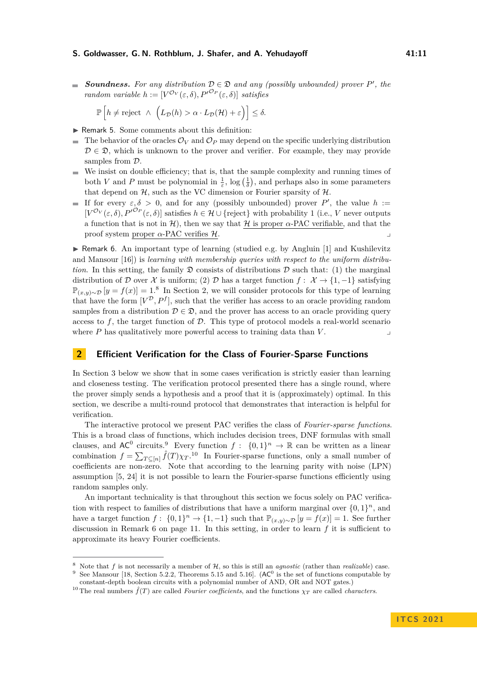**Soundness.** For any distribution  $D \in \mathcal{D}$  and any (possibly unbounded) prover P', the *random variable*  $h := [V^{\mathcal{O}_V}(\varepsilon, \delta), P^{\prime \mathcal{O}_P}(\varepsilon, \delta)]$  *satisfies* 

$$
\mathbb{P}\left[h \neq \text{reject} \ \wedge \ \left(L_{\mathcal{D}}(h) > \alpha \cdot L_{\mathcal{D}}(\mathcal{H}) + \varepsilon\right)\right] \leq \delta.
$$

- $\blacktriangleright$  Remark 5. Some comments about this definition:
- The behavior of the oracles  $\mathcal{O}_V$  and  $\mathcal{O}_P$  may depend on the specific underlying distribution  $\mathcal{D} \in \mathcal{D}$ , which is unknown to the prover and verifier. For example, they may provide samples from  $\mathcal{D}$ .
- We insist on double efficiency; that is, that the sample complexity and running times of both *V* and *P* must be polynomial in  $\frac{1}{\varepsilon}$ , log  $(\frac{1}{\delta})$ , and perhaps also in some parameters that depend on  $H$ , such as the VC dimension or Fourier sparsity of  $H$ .
- If for every  $\varepsilon, \delta > 0$ , and for any (possibly unbounded) prover P', the value  $h :=$  $[V^{\mathcal{O}_V}(\varepsilon,\delta), P^{\prime \mathcal{O}_P}(\varepsilon,\delta)]$  satisfies  $h \in \mathcal{H} \cup \{\text{reject}\}\$  with probability 1 (i.e., *V* never outputs a function that is not in  $H$ ), then we say that H is proper  $\alpha$ -PAC verifiable, and that the proof system proper  $\alpha$ -PAC verifies  $\mathcal{H}$ .

<span id="page-10-4"></span>**IF Remark 6.** An important type of learning (studied e.g. by Angluin [\[1\]](#page-17-4) and Kushilevitz and Mansour [\[16\]](#page-18-16)) is *learning with membership queries with respect to the uniform distribution*. In this setting, the family  $\mathfrak D$  consists of distributions  $\mathcal D$  such that: (1) the marginal distribution of D over X is uniform; (2) D has a target function  $f: \mathcal{X} \rightarrow \{1, -1\}$  satisfying  $\mathbb{P}_{(x,y)\sim\mathcal{D}}[y = f(x)] = 1.8$  $\mathbb{P}_{(x,y)\sim\mathcal{D}}[y = f(x)] = 1.8$  In Section [2,](#page-10-0) we will consider protocols for this type of learning that have the form  $[V^{\mathcal{D}}, P^f]$ , such that the verifier has access to an oracle providing random samples from a distribution  $D \in \mathcal{D}$ , and the prover has access to an oracle providing query access to  $f$ , the target function of  $D$ . This type of protocol models a real-world scenario where  $P$  has qualitatively more powerful access to training data than  $V$ .

# <span id="page-10-0"></span>**2 Efficient Verification for the Class of Fourier-Sparse Functions**

In Section [3](#page-14-0) below we show that in some cases verification is strictly easier than learning and closeness testing. The verification protocol presented there has a single round, where the prover simply sends a hypothesis and a proof that it is (approximately) optimal. In this section, we describe a multi-round protocol that demonstrates that interaction is helpful for verification.

The interactive protocol we present PAC verifies the class of *Fourier-sparse functions*. This is a broad class of functions, which includes decision trees, DNF formulas with small clauses, and  $AC^0$  circuits.<sup>[9](#page-10-2)</sup> Every function  $f: \{0,1\}^n \to \mathbb{R}$  can be written as a linear combination  $f = \sum_{T \subseteq [n]} \hat{f}(T) \chi_T$ .<sup>[10](#page-10-3)</sup> In Fourier-sparse functions, only a small number of coefficients are non-zero. Note that according to the learning parity with noise (LPN) assumption [\[5,](#page-18-14) [24\]](#page-18-15) it is not possible to learn the Fourier-sparse functions efficiently using random samples only.

An important technicality is that throughout this section we focus solely on PAC verification with respect to families of distributions that have a uniform marginal over  $\{0,1\}^n$ , and have a target function  $f: \{0,1\}^n \to \{1,-1\}$  such that  $\mathbb{P}_{(x,y)\sim\mathcal{D}}[y=f(x)]=1$ . See further discussion in Remark [6](#page-10-4) on page [11.](#page-10-4) In this setting, in order to learn *f* it is sufficient to approximate its heavy Fourier coefficients.

<span id="page-10-2"></span><span id="page-10-1"></span><sup>8</sup> Note that *f* is not necessarily a member of H, so this is still an *agnostic* (rather than *realizable*) case. <sup>9</sup> See Mansour [\[18,](#page-18-19) Section 5.2.2, Theorems 5.15 and 5.16]. ( $AC<sup>0</sup>$  is the set of functions computable by constant-depth boolean circuits with a polynomial number of AND, OR and NOT gates.)

<span id="page-10-3"></span><sup>&</sup>lt;sup>10</sup> The real numbers  $\hat{f}(T)$  are called *Fourier coefficients*, and the functions  $\chi_T$  are called *characters*.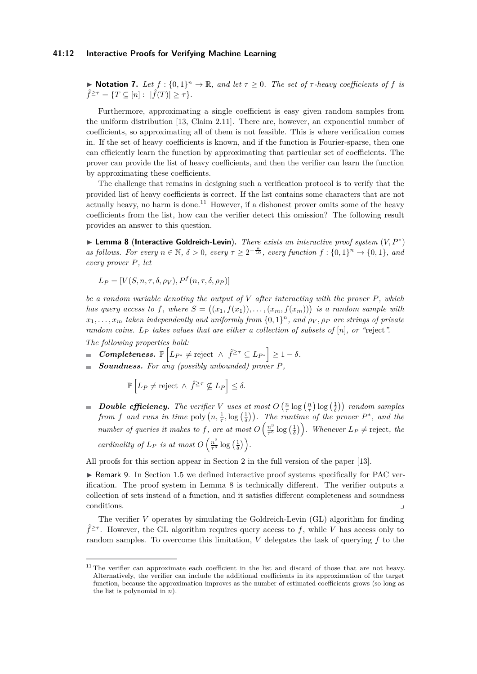## **41:12 Interactive Proofs for Verifying Machine Learning**

 $\blacktriangleright$  **Notation 7.** Let  $f : \{0,1\}^n \to \mathbb{R}$ , and let  $\tau \geq 0$ . The set of  $\tau$ -heavy coefficients of  $f$  is  $\hat{f}^{\geq \tau} = \{T \subseteq [n] : |\hat{f}(T)| \geq \tau\}.$ 

Furthermore, approximating a single coefficient is easy given random samples from the uniform distribution [\[13,](#page-18-8) Claim [2.11\]](#page-0-0). There are, however, an exponential number of coefficients, so approximating all of them is not feasible. This is where verification comes in. If the set of heavy coefficients is known, and if the function is Fourier-sparse, then one can efficiently learn the function by approximating that particular set of coefficients. The prover can provide the list of heavy coefficients, and then the verifier can learn the function by approximating these coefficients.

The challenge that remains in designing such a verification protocol is to verify that the provided list of heavy coefficients is correct. If the list contains some characters that are not actually heavy, no harm is done.<sup>[11](#page-11-0)</sup> However, if a dishonest prover omits some of the heavy coefficients from the list, how can the verifier detect this omission? The following result provides an answer to this question.

<span id="page-11-1"></span>I **Lemma 8** (**Interactive Goldreich-Levin**)**.** *There exists an interactive proof system* (*V, P*<sup>∗</sup> ) *as follows. For every*  $n \in \mathbb{N}$ ,  $\delta > 0$ , every  $\tau \geq 2^{-\frac{n}{10}}$ , every function  $f : \{0,1\}^n \to \{0,1\}$ , and *every prover P, let*

$$
L_P = [V(S, n, \tau, \delta, \rho_V), P^f(n, \tau, \delta, \rho_P)]
$$

*be a random variable denoting the output of V after interacting with the prover P, which has query access to f, where*  $S = ((x_1, f(x_1)), \ldots, (x_m, f(x_m)))$  *is a random sample with*  $x_1, \ldots, x_m$  *taken independently and uniformly from*  $\{0, 1\}^n$ *, and*  $\rho_V, \rho_P$  *are strings of private random coins. L<sup>P</sup> takes values that are either a collection of subsets of* [*n*]*, or "*reject*".*

*The following properties hold:*

- $\mathbb{P}\left[L_{P^*} \neq \text{reject} \ \wedge \ \hat{f}^{\geq \tau} \subseteq L_{P^*}\right] \geq 1 \delta.$
- *Soundness. For any (possibly unbounded) prover P,*

$$
\mathbb{P}\left[L_P \neq \text{reject} \ \wedge \ \hat{f}^{\geq \tau} \nsubseteq L_P\right] \leq \delta.
$$

*Double efficiency.* The verifier V uses at most  $O\left(\frac{n}{\tau}\log\left(\frac{n}{\tau}\right)\log\left(\frac{1}{\delta}\right)\right)$  random samples *from f* and runs in time poly  $(n, \frac{1}{\tau}, \log(\frac{1}{\delta}))$ . The runtime of the prover  $P^*$ , and the *number of queries it makes to f, are at most*  $O\left(\frac{n^3}{\tau^5}\right)$  $\frac{n^3}{\tau^5} \log \left(\frac{1}{\delta}\right)$ . Whenever  $L_P \neq$  reject, the *cardinality of*  $L_P$  *is at most*  $O\left(\frac{n^2}{\tau^5}\right)$  $\frac{n^2}{\tau^5} \log\left(\frac{1}{\delta}\right)$ .

All proofs for this section appear in Section [2](#page-10-0) in the full version of the paper [\[13\]](#page-18-8).

 $\triangleright$  Remark 9. In Section [1.5](#page-9-1) we defined interactive proof systems specifically for PAC verification. The proof system in Lemma [8](#page-11-1) is technically different. The verifier outputs a collection of sets instead of a function, and it satisfies different completeness and soundness conditions.

The verifier *V* operates by simulating the Goldreich-Levin (GL) algorithm for finding  $\hat{f}^{\geq \tau}$ . However, the GL algorithm requires query access to f, while V has access only to random samples. To overcome this limitation, *V* delegates the task of querying *f* to the

<span id="page-11-0"></span> $11$ <sup>11</sup> The verifier can approximate each coefficient in the list and discard of those that are not heavy. Alternatively, the verifier can include the additional coefficients in its approximation of the target function, because the approximation improves as the number of estimated coefficients grows (so long as the list is polynomial in *n*).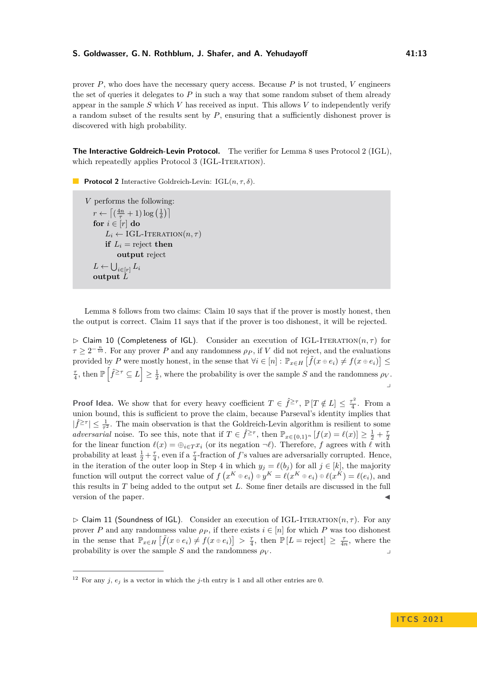prover  $P$ , who does have the necessary query access. Because  $P$  is not trusted,  $V$  engineers the set of queries it delegates to *P* in such a way that some random subset of them already appear in the sample *S* which *V* has received as input. This allows *V* to independently verify a random subset of the results sent by *P*, ensuring that a sufficiently dishonest prover is discovered with high probability.

**The Interactive Goldreich-Levin Protocol.** The verifier for Lemma [8](#page-11-1) uses Protocol [2](#page-12-0) (IGL), which repeatedly applies Protocol [3](#page-13-0) (IGL-ITERATION).

<span id="page-12-0"></span>**Protocol 2** Interactive Goldreich-Levin: IGL(*n, τ, δ*).

*V* performs the following:  $r \leftarrow \left\lceil \left( \frac{4n}{\tau} + 1 \right) \log \left( \frac{1}{\delta} \right) \right\rceil$ **for**  $i \in [r]$  **do**  $L_i \leftarrow \text{IGL-ITERATION}(n, \tau)$ **if**  $L_i$  = reject **then output** reject  $L \leftarrow \bigcup_{i \in [r]} L_i$ **output** *L*

Lemma [8](#page-11-1) follows from two claims: Claim [10](#page-12-1) says that if the prover is mostly honest, then the output is correct. Claim [11](#page-12-2) says that if the prover is too dishonest, it will be rejected.

<span id="page-12-1"></span> $\triangleright$  Claim 10 (Completeness of IGL). Consider an execution of IGL-ITERATION $(n, \tau)$  for  $\tau \geq 2^{-\frac{n}{10}}$ . For any prover *P* and any randomness  $\rho_P$ , if *V* did not reject, and the evaluations provided by *P* were mostly honest, in the sense that  $\forall i \in [n]: \mathbb{P}_{x \in H} \left[ \tilde{f}(x \oplus e_i) \neq f(x \oplus e_i) \right] \leq$  $\frac{\tau}{4}$ , then  $\mathbb{P}\left[\hat{f}^{\geq \tau} \subseteq L\right] \geq \frac{1}{2}$ , where the probability is over the sample *S* and the randomness  $\rho_V$ . y

**Proof Idea.** We show that for every heavy coefficient  $T \in \hat{f}^{\geq \tau}$ ,  $\mathbb{P}[T \notin L] \leq \frac{\tau^2}{4}$  $\frac{\tau^2}{4}$ . From a union bound, this is sufficient to prove the claim, because Parseval's identity implies that  $|\hat{f}^{\geq \tau}| \leq \frac{1}{\tau^2}$ . The main observation is that the Goldreich-Levin algorithm is resilient to some *adversarial* noise. To see this, note that if  $T \in \hat{f}^{\geq \tau}$ , then  $\mathbb{P}_{x \in \{0,1\}^n} [f(x) = \ell(x)] \geq \frac{1}{2} + \frac{\tau}{2}$ for the linear function  $\ell(x) = \bigoplus_{i \in T} x_i$  (or its negation  $\neg \ell$ ). Therefore, *f* agrees with  $\ell$  with probability at least  $\frac{1}{2} + \frac{\tau}{4}$ , even if a  $\frac{\tau}{4}$ -fraction of *f*'s values are adversarially corrupted. Hence, in the iteration of the outer loop in Step [4](#page-13-1) in which  $y_j = \ell(b_j)$  for all  $j \in [k]$ , the majority function will output the correct value of  $f(x^K \oplus e_i) \oplus y^K = \ell(x^K \oplus e_i) \oplus \ell(x^K) = \ell(e_i)$ , and this results in *T* being added to the output set *L*. Some finer details are discussed in the full version of the paper.

<span id="page-12-2"></span> $\triangleright$  Claim 11 (Soundness of IGL). Consider an execution of IGL-ITERATION $(n, \tau)$ . For any prover *P* and any randomness value  $\rho_P$ , if there exists  $i \in [n]$  for which *P* was too dishonest in the sense that  $\mathbb{P}_{x \in H} \left[ \tilde{f}(x \oplus e_i) \neq f(x \oplus e_i) \right] > \frac{\tau}{4}$ , then  $\mathbb{P} \left[ L = \text{reject} \right] \geq \frac{\tau}{4n}$ , where the  $\Box$  probability is over the sample *S* and the randomness  $\rho_V$ .

<span id="page-12-3"></span><sup>&</sup>lt;sup>12</sup> For any *j*,  $e_j$  is a vector in which the *j*-th entry is 1 and all other entries are 0.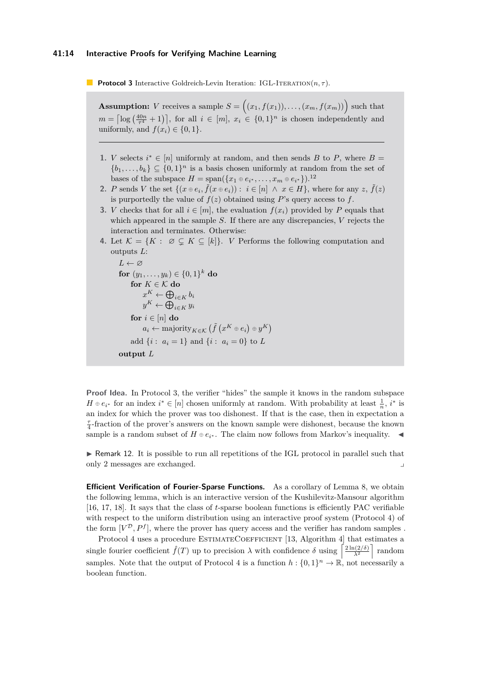<span id="page-13-0"></span>**Protocol 3** Interactive Goldreich-Levin Iteration: IGL-ITERATION $(n, \tau)$ .

**Assumption:** *V* receives a sample  $S = (x_1, f(x_1)), \ldots, (x_m, f(x_m))$  such that  $m = \left[ \log \left( \frac{40n}{\tau^4} + 1 \right) \right]$ , for all  $i \in [m]$ ,  $x_i \in \{0, 1\}^n$  is chosen independently and uniformly, and  $f(x_i) \in \{0, 1\}.$ 

- **1.** *V* selects  $i^* \in [n]$  uniformly at random, and then sends *B* to *P*, where *B* =  ${b_1, \ldots, b_k} \subseteq {0,1}^n$  is a basis chosen uniformly at random from the set of bases of the subspace  $H = \text{span}(\{x_1 \oplus e_{i^*}, \ldots, x_m \oplus e_{i^*}\})$ .<sup>[12](#page-12-3)</sup>
- **2.** *P* sends *V* the set  $\{(x \oplus e_i, \tilde{f}(x \oplus e_i)) : i \in [n] \land x \in H\}$ , where for any  $z, \tilde{f}(z)$ is purportedly the value of  $f(z)$  obtained using  $P$ 's query access to  $f$ .
- **3.** *V* checks that for all  $i \in [m]$ , the evaluation  $f(x_i)$  provided by *P* equals that which appeared in the sample *S*. If there are any discrepancies, *V* rejects the interaction and terminates. Otherwise:
- <span id="page-13-1"></span>**4.** Let  $\mathcal{K} = \{K : \emptyset \subseteq K \subseteq [k]\}.$  *V* Performs the following computation and outputs *L*:

```
L \leftarrow \varnothingfor (y_1, ..., y_k) \in \{0, 1\}^k do
       for K \in \mathcal{K} do
             x^K \leftarrow \bigoplus_{i \in K} b_iy^K \leftarrow \bigoplus_{i \in K} y_ifor i \in [n] do
             a_i \leftarrow \text{majority}_{K \in \mathcal{K}} \left( \tilde{f} \left( x^K \oplus e_i \right) \oplus y^K \right)add \{i : a_i = 1\} and \{i : a_i = 0\} to L
output L
```
**Proof Idea.** In Protocol [3,](#page-13-0) the verifier "hides" the sample it knows in the random subspace  $H \oplus e_{i^*}$  for an index  $i^* \in [n]$  chosen uniformly at random. With probability at least  $\frac{1}{n}$ ,  $i^*$  is an index for which the prover was too dishonest. If that is the case, then in expectation a  $\frac{\tau}{4}$ -fraction of the prover's answers on the known sample were dishonest, because the known sample is a random subset of  $H \oplus e_{i^*}$ . The claim now follows from Markov's inequality.  $\blacktriangleleft$ 

 $\triangleright$  Remark 12. It is possible to run all repetitions of the IGL protocol in parallel such that only 2 messages are exchanged. y

**Efficient Verification of Fourier-Sparse Functions.** As a corollary of Lemma [8,](#page-11-1) we obtain the following lemma, which is an interactive version of the Kushilevitz-Mansour algorithm [\[16,](#page-18-16) [17,](#page-18-20) [18\]](#page-18-19). It says that the class of *t*-sparse boolean functions is efficiently PAC verifiable with respect to the uniform distribution using an interactive proof system (Protocol [4\)](#page-14-3) of the form  $[V^{\mathcal{D}}, P^f]$ , where the prover has query access and the verifier has random samples.

Protocol [4](#page-14-3) uses a procedure ESTIMATECOEFFICIENT [\[13,](#page-18-8) Algorithm [4\]](#page-0-0) that estimates a single fourier coefficient  $\hat{f}(T)$  up to precision  $\lambda$  with confidence  $\delta$  using  $\left[\frac{2\ln(2/\delta)}{\lambda^2}\right]$  random samples. Note that the output of Protocol [4](#page-14-3) is a function  $h: \{0,1\}^n \to \mathbb{R}$ , not necessarily a boolean function.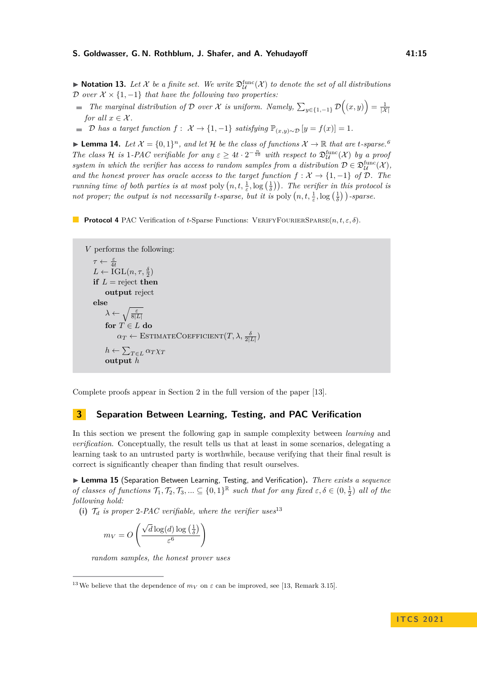$\blacktriangleright$  **Notation 13.** Let X be a finite set. We write  $\mathfrak{D}^{\text{func}}_{\mathcal{U}}(\mathcal{X})$  to denote the set of all distributions D *over*  $X \times \{1, -1\}$  *that have the following two properties:* 

- *The marginal distribution of*  $D$  *over*  $\mathcal X$  *is uniform. Namely,*  $\sum_{y \in \{1,-1\}} D((x,y)) = \frac{1}{|\mathcal X|}$ *for all*  $x \in \mathcal{X}$ *.*
- $\mathcal{D}$  *has a target function*  $f: \mathcal{X} \to \{1, -1\}$  *satisfying*  $\mathbb{P}_{(x,y) \sim \mathcal{D}}[y = f(x)] = 1$ *.*

<span id="page-14-1"></span>▶ **Lemma 14.** Let  $\mathcal{X} = \{0,1\}^n$ , and let H be the class of functions  $\mathcal{X} \to \mathbb{R}$  that are *t*-sparse.<sup>[6](#page-7-0)</sup> *The class*  $H$  *is* 1*-PAC verifiable for any*  $\varepsilon \geq 4t \cdot 2^{-\frac{n}{10}}$  *with respect to*  $\mathfrak{D}^{\text{func}}_{\mathcal{U}}(\mathcal{X})$  *by a proof system in which the verifier has access to random samples from a distribution*  $D \in \mathfrak{D}^{\text{func}}_{\mathcal{U}}(\mathcal{X}),$ *and the honest prover has oracle access to the target function*  $f: \mathcal{X} \to \{1, -1\}$  *of*  $\mathcal{D}$ *. The running time of both parties is at most* poly  $(n, t, \frac{1}{\varepsilon}, \log(\frac{1}{\delta}))$ . The verifier in this protocol is *not proper; the output is not necessarily <i>t-sparse, but it is* poly  $(n, t, \frac{1}{\varepsilon}, \log(\frac{1}{\delta}))$ *-sparse.* 

<span id="page-14-3"></span>**Protocol 4** PAC Verification of *t*-Sparse Functions: VERIFYFOURIERSPARSE $(n, t, \varepsilon, \delta)$ .

```
V performs the following:
    \tau \leftarrow \frac{\varepsilon}{4t}L \leftarrow \text{IGL}(n, \tau, \frac{\delta}{2})if L = reject then
          output reject
   else
           \lambda \leftarrow \sqrt{\frac{\varepsilon}{8|L|}}for T \in Ldo
                 \alpha_T \leftarrow \text{EstimateCoefficient}(T, \lambda, \frac{\delta}{2|L|})h \leftarrow \sum_{T \in L} \alpha_T \chi_Toutput h
```
Complete proofs appear in Section [2](#page-10-0) in the full version of the paper [\[13\]](#page-18-8).

## <span id="page-14-0"></span>**3 Separation Between Learning, Testing, and PAC Verification**

In this section we present the following gap in sample complexity between *learning* and *verification*. Conceptually, the result tells us that at least in some scenarios, delegating a learning task to an untrusted party is worthwhile, because verifying that their final result is correct is significantly cheaper than finding that result ourselves.

<span id="page-14-2"></span>I **Lemma 15** (Separation Between Learning, Testing, and Verification)**.** *There exists a sequence of classes of functions*  $\mathcal{T}_1, \mathcal{T}_2, \mathcal{T}_3, \ldots \subseteq \{0,1\}^{\mathbb{R}}$  *such that for any fixed*  $\varepsilon, \delta \in (0, \frac{1}{2})$  *all of the following hold:*

<span id="page-14-5"></span>(i)  $\mathcal{T}_d$  *is proper* 2-PAC verifiable, where the verifier uses<sup>[13](#page-14-4)</sup>

$$
m_V = O\left(\frac{\sqrt{d}\log(d)\log\left(\frac{1}{\delta}\right)}{\varepsilon^6}\right)
$$

*random samples, the honest prover uses*

<span id="page-14-4"></span><sup>&</sup>lt;sup>13</sup>We believe that the dependence of  $m_V$  on  $\varepsilon$  can be improved, see [\[13,](#page-18-8) Remark [3.15\]](#page-0-0).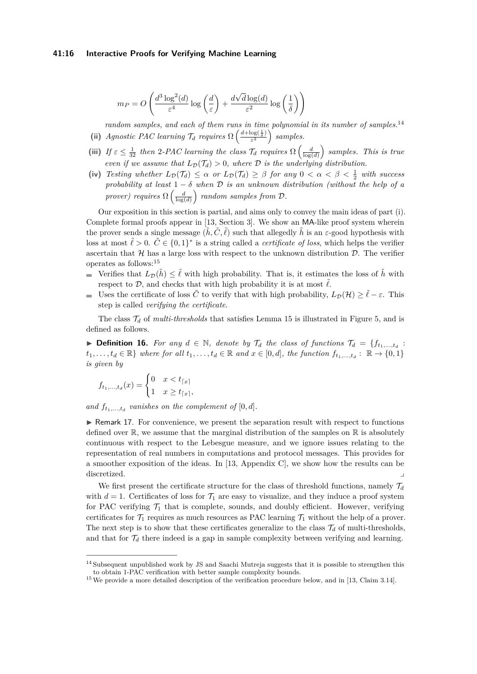## **41:16 Interactive Proofs for Verifying Machine Learning**

$$
m_P = O\left(\frac{d^3 \log^2(d)}{\varepsilon^4} \log\left(\frac{d}{\varepsilon}\right) + \frac{d\sqrt{d}\log(d)}{\varepsilon^2} \log\left(\frac{1}{\delta}\right)\right)
$$

<span id="page-15-2"></span>*random samples, and each of them runs in time polynomial in its number of samples.*[14](#page-15-0) (ii) *Agnostic PAC learning*  $\mathcal{T}_d$  *requires*  $\Omega\left(\frac{d + \log(\frac{1}{\delta})}{\epsilon^2}\right)$  $\frac{\log(\frac{1}{\delta})}{\varepsilon^2}$  samples.

- (iii) *If*  $\varepsilon \leq \frac{1}{32}$  *then* 2*-PAC learning the class*  $\mathcal{T}_d$  *requires*  $\Omega\left(\frac{d}{\log(d)}\right)$  *samples. This is true even if we assume that*  $L_{\mathcal{D}}(\mathcal{T}_d) > 0$ *, where*  $\mathcal D$  *is the underlying distribution.*
- <span id="page-15-3"></span>(iv) *Testing whether*  $L_{\mathcal{D}}(\mathcal{T}_d) \leq \alpha$  *or*  $L_{\mathcal{D}}(\mathcal{T}_d) \geq \beta$  *for any*  $0 < \alpha < \beta < \frac{1}{2}$  *with success probability at least* 1 − *δ when* D *is an unknown distribution (without the help of a prover)* requires  $\Omega\left(\frac{d}{\log(d)}\right)$  random samples from  $\mathcal{D}$ .

Our exposition in this section is partial, and aims only to convey the main ideas of part [\(i\)](#page-14-5). Complete formal proofs appear in [\[13,](#page-18-8) Section [3\]](#page-14-0). We show an MA-like proof system wherein the prover sends a single message  $(\tilde{h}, \tilde{C}, \tilde{\ell})$  such that allegedly  $\tilde{h}$  is an  $\varepsilon$ -good hypothesis with loss at most  $\tilde{\ell} > 0$ .  $\tilde{C} \in \{0,1\}^*$  is a string called a *certificate of loss*, which helps the verifier ascertain that  $H$  has a large loss with respect to the unknown distribution  $D$ . The verifier operates as follows:[15](#page-15-1)

- Verifies that  $L_{\mathcal{D}}(\tilde{h}) \leq \tilde{\ell}$  with high probability. That is, it estimates the loss of  $\tilde{h}$  with respect to  $\mathcal{D}$ , and checks that with high probability it is at most  $\tilde{\ell}$ .
- Uses the certificate of loss  $\tilde{C}$  to verify that with high probability,  $L_{\mathcal{D}}(\mathcal{H}) \geq \tilde{\ell} \varepsilon$ . This step is called *verifying the certificate*.

The class  $\mathcal{T}_d$  of *multi-thresholds* that satisfies Lemma [15](#page-14-2) is illustrated in Figure [5,](#page-16-0) and is defined as follows.

▶ **Definition 16.** *For any*  $d \in \mathbb{N}$ *, denote by*  $\mathcal{T}_d$  *the class of functions*  $\mathcal{T}_d = \{f_{t_1,...,t_d}$  :  $t_1, \ldots, t_d \in \mathbb{R}$  *where for all*  $t_1, \ldots, t_d \in \mathbb{R}$  and  $x \in [0, d]$ , the function  $f_{t_1, \ldots, t_d} : \mathbb{R} \to \{0, 1\}$ *is given by*

$$
f_{t_1,\ldots,t_d}(x) = \begin{cases} 0 & x < t_{\lceil x \rceil} \\ 1 & x \ge t_{\lceil x \rceil}, \end{cases}
$$

and  $f_{t_1,\ldots,t_d}$  vanishes on the complement of  $[0,d]$ .

 $\triangleright$  Remark 17. For convenience, we present the separation result with respect to functions defined over  $\mathbb R$ , we assume that the marginal distribution of the samples on  $\mathbb R$  is absolutely continuous with respect to the Lebesgue measure, and we ignore issues relating to the representation of real numbers in computations and protocol messages. This provides for a smoother exposition of the ideas. In [\[13,](#page-18-8) Appendix [C\]](#page-0-0), we show how the results can be discretized.

We first present the certificate structure for the class of threshold functions, namely  $\mathcal{T}_d$ with  $d = 1$ . Certificates of loss for  $\mathcal{T}_1$  are easy to visualize, and they induce a proof system for PAC verifying  $\mathcal{T}_1$  that is complete, sounds, and doubly efficient. However, verifying certificates for  $\mathcal{T}_1$  requires as much resources as PAC learning  $\mathcal{T}_1$  without the help of a prover. The next step is to show that these certificates generalize to the class  $\mathcal{T}_d$  of multi-thresholds, and that for  $\mathcal{T}_d$  there indeed is a gap in sample complexity between verifying and learning.

<span id="page-15-0"></span><sup>&</sup>lt;sup>14</sup> Subsequent unpublished work by JS and Saachi Mutreja suggests that it is possible to strengthen this to obtain 1-PAC verification with better sample complexity bounds.

<span id="page-15-1"></span><sup>&</sup>lt;sup>15</sup> We provide a more detailed description of the verification procedure below, and in [\[13,](#page-18-8) Claim [3.14\]](#page-0-0).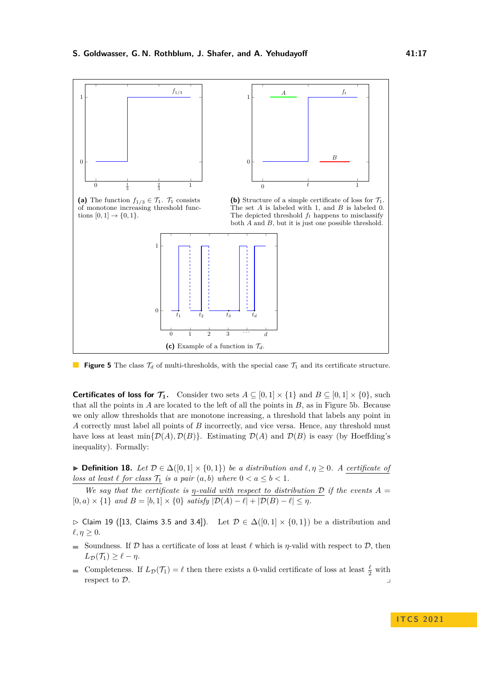<span id="page-16-0"></span>

**Figure 5** The class  $\mathcal{T}_d$  of multi-thresholds, with the special case  $\mathcal{T}_1$  and its certificate structure.

**Certificates of loss for**  $\mathcal{T}_1$ **.** Consider two sets  $A \subseteq [0,1] \times \{1\}$  and  $B \subseteq [0,1] \times \{0\}$ , such that all the points in *A* are located to the left of all the points in *B*, as in Figure [5b.](#page-16-0) Because we only allow thresholds that are monotone increasing, a threshold that labels any point in *A* correctly must label all points of *B* incorrectly, and vice versa. Hence, any threshold must have loss at least  $\min\{\mathcal{D}(A), \mathcal{D}(B)\}\$ . Estimating  $\mathcal{D}(A)$  and  $\mathcal{D}(B)$  is easy (by Hoeffding's inequality). Formally:

**► Definition 18.** Let  $D \in \Delta([0,1] \times \{0,1\})$  be a distribution and  $\ell, \eta \geq 0$ . A certificate of *loss* at least  $\ell$  for *class*  $\mathcal{T}_1$  *is a pair*  $(a, b)$  *where*  $0 < a \leq b < 1$ *.* 

*We say that the certificate is η-valid with respect to distribution*  $D$  *if the events*  $A =$  $[0, a) \times \{1\}$  and  $B = [b, 1] \times \{0\}$  satisfy  $|\mathcal{D}(A) - \ell| + |\mathcal{D}(B) - \ell| \leq \eta$ .

 $\triangleright$  Claim 19 ([\[13,](#page-18-8) Claims [3.5](#page-0-0) and [3.4\]](#page-0-0)). Let  $\mathcal{D} \in \Delta([0,1] \times \{0,1\})$  be a distribution and  $\ell, \eta \geq 0$ .

- Soundness. If D has a certificate of loss at least  $\ell$  which is  $\eta$ -valid with respect to D, then  $L_{\mathcal{D}}(\mathcal{T}_1) > \ell - \eta$ .
- Completeness. If  $L_{\mathcal{D}}(\mathcal{T}_1) = \ell$  then there exists a 0-valid certificate of loss at least  $\frac{\ell}{2}$  with respect to  $\mathcal{D}$ .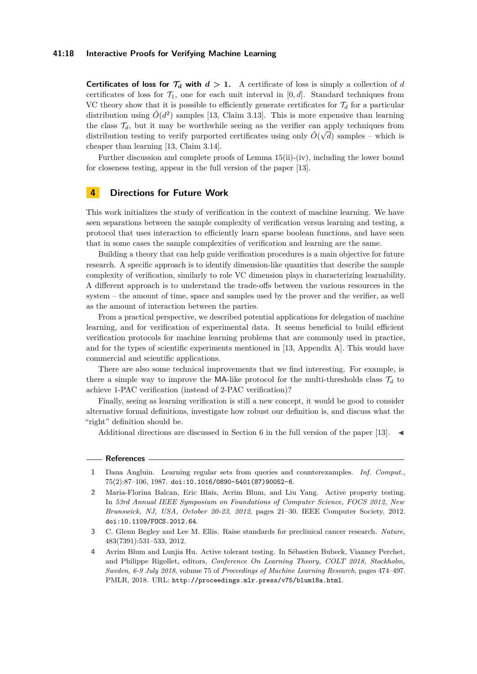## **41:18 Interactive Proofs for Verifying Machine Learning**

**Certificates of loss for**  $\mathcal{T}_d$  **with**  $d > 1$ . A certificate of loss is simply a collection of *d* certificates of loss for  $\mathcal{T}_1$ , one for each unit interval in [0, d]. Standard techniques from VC theory show that it is possible to efficiently generate certificates for  $\mathcal{T}_d$  for a particular distribution using  $\tilde{O}(d^2)$  samples [\[13,](#page-18-8) Claim [3.13\]](#page-0-0). This is more expensive than learning the class  $\mathcal{T}_d$ , but it may be worthwhile seeing as the verifier can apply techniques from distribution testing to verify purported certificates using only  $\tilde{O}(\sqrt{d})$  samples – which is cheaper than learning [\[13,](#page-18-8) Claim [3.14\]](#page-0-0).

Further discussion and complete proofs of Lemma [15\(](#page-14-2)[ii\)](#page-15-2)-[\(iv\)](#page-15-3), including the lower bound for closeness testing, appear in the full version of the paper [\[13\]](#page-18-8).

## <span id="page-17-3"></span>**4 Directions for Future Work**

This work initializes the study of verification in the context of machine learning. We have seen separations between the sample complexity of verification versus learning and testing, a protocol that uses interaction to efficiently learn sparse boolean functions, and have seen that in some cases the sample complexities of verification and learning are the same.

Building a theory that can help guide verification procedures is a main objective for future research. A specific approach is to identify dimension-like quantities that describe the sample complexity of verification, similarly to role VC dimension plays in characterizing learnability. A different approach is to understand the trade-offs between the various resources in the system – the amount of time, space and samples used by the prover and the verifier, as well as the amount of interaction between the parties.

From a practical perspective, we described potential applications for delegation of machine learning, and for verification of experimental data. It seems beneficial to build efficient verification protocols for machine learning problems that are commonly used in practice, and for the types of scientific experiments mentioned in [\[13,](#page-18-8) Appendix [A\]](#page-0-0). This would have commercial and scientific applications.

There are also some technical improvements that we find interesting. For example, is there a simple way to improve the MA-like protocol for the multi-thresholds class  $\mathcal{T}_d$  to achieve 1-PAC verification (instead of 2-PAC verification)?

Finally, seeing as learning verification is still a new concept, it would be good to consider alternative formal definitions, investigate how robust our definition is, and discuss what the "right" definition should be.

Additional directions are discussed in Section [6](#page-0-0) in the full version of the paper [\[13\]](#page-18-8).

#### **References**

- <span id="page-17-4"></span>**1** Dana Angluin. Learning regular sets from queries and counterexamples. *Inf. Comput.*, 75(2):87–106, 1987. [doi:10.1016/0890-5401\(87\)90052-6](https://doi.org/10.1016/0890-5401(87)90052-6).
- <span id="page-17-0"></span>**2** Maria-Florina Balcan, Eric Blais, Avrim Blum, and Liu Yang. Active property testing. In *53rd Annual IEEE Symposium on Foundations of Computer Science, FOCS 2012, New Brunswick, NJ, USA, October 20-23, 2012*, pages 21–30. IEEE Computer Society, 2012. [doi:10.1109/FOCS.2012.64](https://doi.org/10.1109/FOCS.2012.64).
- <span id="page-17-2"></span>**3** C. Glenn Begley and Lee M. Ellis. Raise standards for preclinical cancer research. *Nature*, 483(7391):531–533, 2012.
- <span id="page-17-1"></span>**4** Avrim Blum and Lunjia Hu. Active tolerant testing. In Sébastien Bubeck, Vianney Perchet, and Philippe Rigollet, editors, *Conference On Learning Theory, COLT 2018, Stockholm, Sweden, 6-9 July 2018*, volume 75 of *Proceedings of Machine Learning Research*, pages 474–497. PMLR, 2018. URL: <http://proceedings.mlr.press/v75/blum18a.html>.